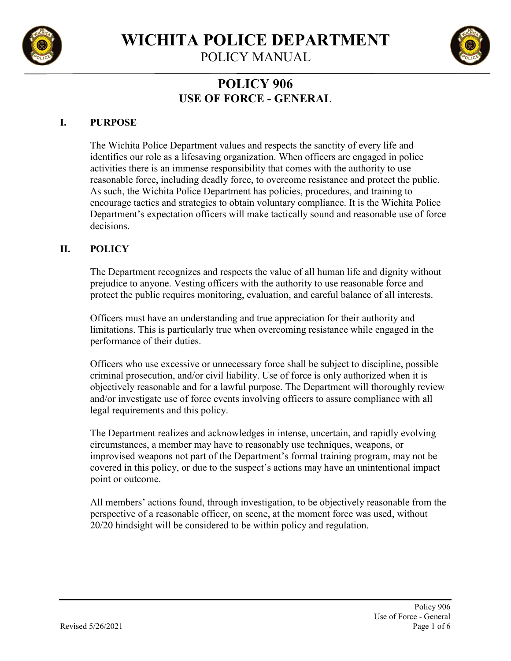

**WICHITA POLICE DEPARTMENT**

POLICY MANUAL



# **POLICY 906 USE OF FORCE - GENERAL**

# **I. PURPOSE**

The Wichita Police Department values and respects the sanctity of every life and identifies our role as a lifesaving organization. When officers are engaged in police activities there is an immense responsibility that comes with the authority to use reasonable force, including deadly force, to overcome resistance and protect the public. As such, the Wichita Police Department has policies, procedures, and training to encourage tactics and strategies to obtain voluntary compliance. It is the Wichita Police Department's expectation officers will make tactically sound and reasonable use of force decisions.

#### **II. POLICY**

The Department recognizes and respects the value of all human life and dignity without prejudice to anyone. Vesting officers with the authority to use reasonable force and protect the public requires monitoring, evaluation, and careful balance of all interests.

Officers must have an understanding and true appreciation for their authority and limitations. This is particularly true when overcoming resistance while engaged in the performance of their duties.

Officers who use excessive or unnecessary force shall be subject to discipline, possible criminal prosecution, and/or civil liability. Use of force is only authorized when it is objectively reasonable and for a lawful purpose. The Department will thoroughly review and/or investigate use of force events involving officers to assure compliance with all legal requirements and this policy.

The Department realizes and acknowledges in intense, uncertain, and rapidly evolving circumstances, a member may have to reasonably use techniques, weapons, or improvised weapons not part of the Department's formal training program, may not be covered in this policy, or due to the suspect's actions may have an unintentional impact point or outcome.

All members' actions found, through investigation, to be objectively reasonable from the perspective of a reasonable officer, on scene, at the moment force was used, without 20/20 hindsight will be considered to be within policy and regulation.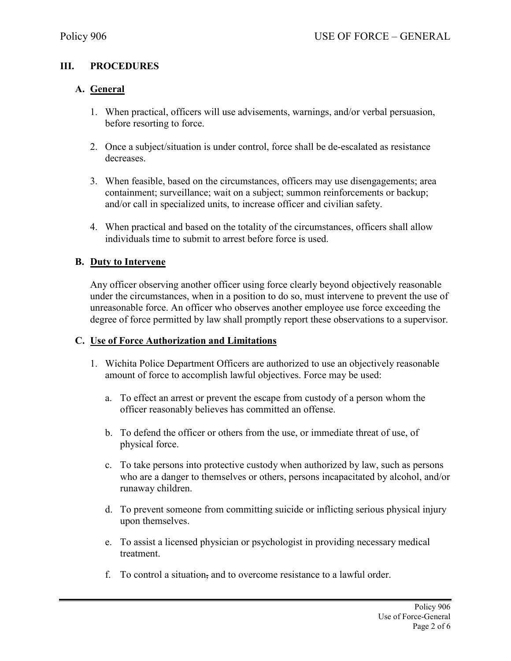# **III. PROCEDURES**

# **A. General**

- 1. When practical, officers will use advisements, warnings, and/or verbal persuasion, before resorting to force.
- 2. Once a subject/situation is under control, force shall be de-escalated as resistance decreases.
- 3. When feasible, based on the circumstances, officers may use disengagements; area containment; surveillance; wait on a subject; summon reinforcements or backup; and/or call in specialized units, to increase officer and civilian safety.
- 4. When practical and based on the totality of the circumstances, officers shall allow individuals time to submit to arrest before force is used.

#### **B. Duty to Intervene**

Any officer observing another officer using force clearly beyond objectively reasonable under the circumstances, when in a position to do so, must intervene to prevent the use of unreasonable force. An officer who observes another employee use force exceeding the degree of force permitted by law shall promptly report these observations to a supervisor.

#### **C. Use of Force Authorization and Limitations**

- 1. Wichita Police Department Officers are authorized to use an objectively reasonable amount of force to accomplish lawful objectives. Force may be used:
	- a. To effect an arrest or prevent the escape from custody of a person whom the officer reasonably believes has committed an offense.
	- b. To defend the officer or others from the use, or immediate threat of use, of physical force.
	- c. To take persons into protective custody when authorized by law, such as persons who are a danger to themselves or others, persons incapacitated by alcohol, and/or runaway children.
	- d. To prevent someone from committing suicide or inflicting serious physical injury upon themselves.
	- e. To assist a licensed physician or psychologist in providing necessary medical treatment.
	- f. To control a situation, and to overcome resistance to a lawful order.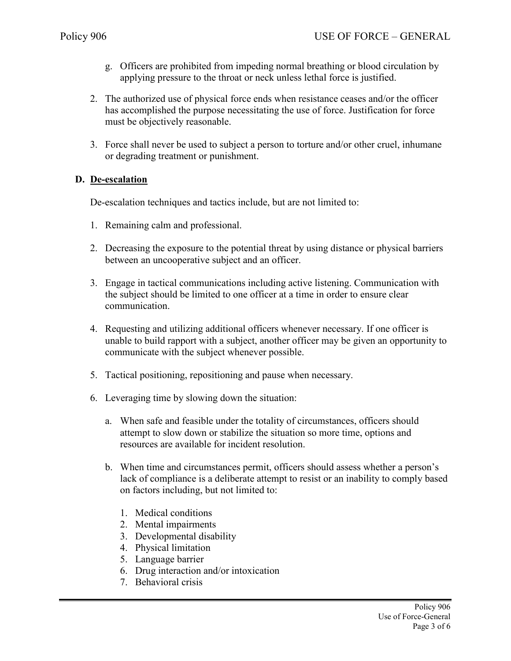- g. Officers are prohibited from impeding normal breathing or blood circulation by applying pressure to the throat or neck unless lethal force is justified.
- 2. The authorized use of physical force ends when resistance ceases and/or the officer has accomplished the purpose necessitating the use of force. Justification for force must be objectively reasonable.
- 3. Force shall never be used to subject a person to torture and/or other cruel, inhumane or degrading treatment or punishment.

#### **D. De-escalation**

De-escalation techniques and tactics include, but are not limited to:

- 1. Remaining calm and professional.
- 2. Decreasing the exposure to the potential threat by using distance or physical barriers between an uncooperative subject and an officer.
- 3. Engage in tactical communications including active listening. Communication with the subject should be limited to one officer at a time in order to ensure clear communication.
- 4. Requesting and utilizing additional officers whenever necessary. If one officer is unable to build rapport with a subject, another officer may be given an opportunity to communicate with the subject whenever possible.
- 5. Tactical positioning, repositioning and pause when necessary.
- 6. Leveraging time by slowing down the situation:
	- a. When safe and feasible under the totality of circumstances, officers should attempt to slow down or stabilize the situation so more time, options and resources are available for incident resolution.
	- b. When time and circumstances permit, officers should assess whether a person's lack of compliance is a deliberate attempt to resist or an inability to comply based on factors including, but not limited to:
		- 1. Medical conditions
		- 2. Mental impairments
		- 3. Developmental disability
		- 4. Physical limitation
		- 5. Language barrier
		- 6. Drug interaction and/or intoxication
		- 7. Behavioral crisis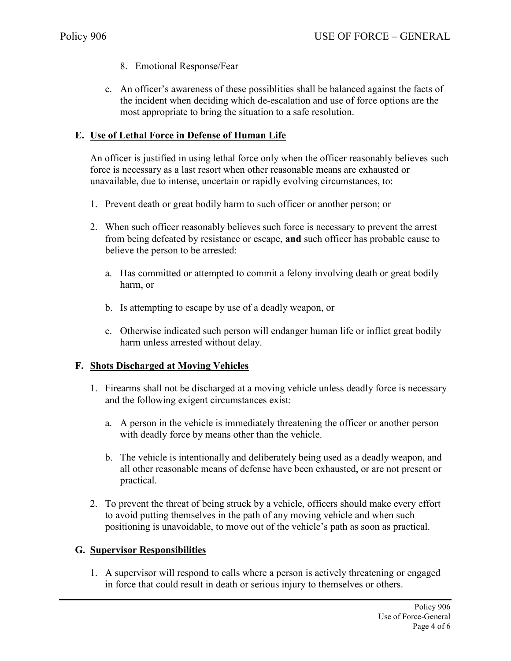- 8. Emotional Response/Fear
- c. An officer's awareness of these possiblities shall be balanced against the facts of the incident when deciding which de-escalation and use of force options are the most appropriate to bring the situation to a safe resolution.

# **E. Use of Lethal Force in Defense of Human Life**

An officer is justified in using lethal force only when the officer reasonably believes such force is necessary as a last resort when other reasonable means are exhausted or unavailable, due to intense, uncertain or rapidly evolving circumstances, to:

- 1. Prevent death or great bodily harm to such officer or another person; or
- 2. When such officer reasonably believes such force is necessary to prevent the arrest from being defeated by resistance or escape, **and** such officer has probable cause to believe the person to be arrested:
	- a. Has committed or attempted to commit a felony involving death or great bodily harm, or
	- b. Is attempting to escape by use of a deadly weapon, or
	- c. Otherwise indicated such person will endanger human life or inflict great bodily harm unless arrested without delay.

#### **F. Shots Discharged at Moving Vehicles**

- 1. Firearms shall not be discharged at a moving vehicle unless deadly force is necessary and the following exigent circumstances exist:
	- a. A person in the vehicle is immediately threatening the officer or another person with deadly force by means other than the vehicle.
	- b. The vehicle is intentionally and deliberately being used as a deadly weapon, and all other reasonable means of defense have been exhausted, or are not present or practical.
- 2. To prevent the threat of being struck by a vehicle, officers should make every effort to avoid putting themselves in the path of any moving vehicle and when such positioning is unavoidable, to move out of the vehicle's path as soon as practical.

#### **G. Supervisor Responsibilities**

1. A supervisor will respond to calls where a person is actively threatening or engaged in force that could result in death or serious injury to themselves or others.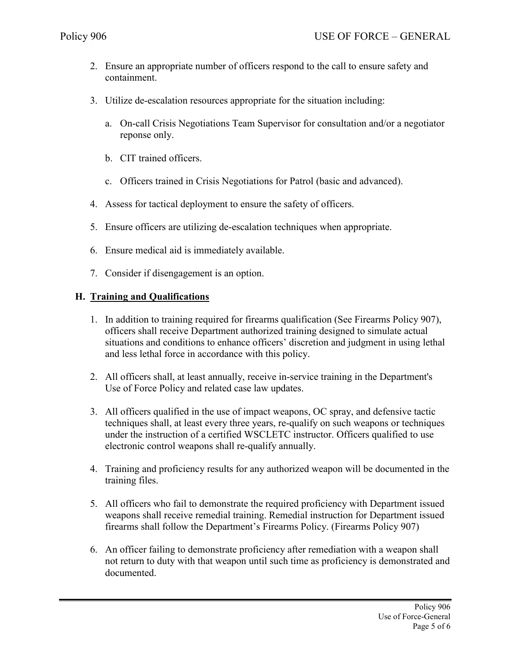- 2. Ensure an appropriate number of officers respond to the call to ensure safety and containment.
- 3. Utilize de-escalation resources appropriate for the situation including:
	- a. On-call Crisis Negotiations Team Supervisor for consultation and/or a negotiator reponse only.
	- b. CIT trained officers.
	- c. Officers trained in Crisis Negotiations for Patrol (basic and advanced).
- 4. Assess for tactical deployment to ensure the safety of officers.
- 5. Ensure officers are utilizing de-escalation techniques when appropriate.
- 6. Ensure medical aid is immediately available.
- 7. Consider if disengagement is an option.

# **H. Training and Qualifications**

- 1. In addition to training required for firearms qualification (See Firearms Policy 907), officers shall receive Department authorized training designed to simulate actual situations and conditions to enhance officers' discretion and judgment in using lethal and less lethal force in accordance with this policy.
- 2. All officers shall, at least annually, receive in-service training in the Department's Use of Force Policy and related case law updates.
- 3. All officers qualified in the use of impact weapons, OC spray, and defensive tactic techniques shall, at least every three years, re-qualify on such weapons or techniques under the instruction of a certified WSCLETC instructor. Officers qualified to use electronic control weapons shall re-qualify annually.
- 4. Training and proficiency results for any authorized weapon will be documented in the training files.
- 5. All officers who fail to demonstrate the required proficiency with Department issued weapons shall receive remedial training. Remedial instruction for Department issued firearms shall follow the Department's Firearms Policy. (Firearms Policy 907)
- 6. An officer failing to demonstrate proficiency after remediation with a weapon shall not return to duty with that weapon until such time as proficiency is demonstrated and documented.